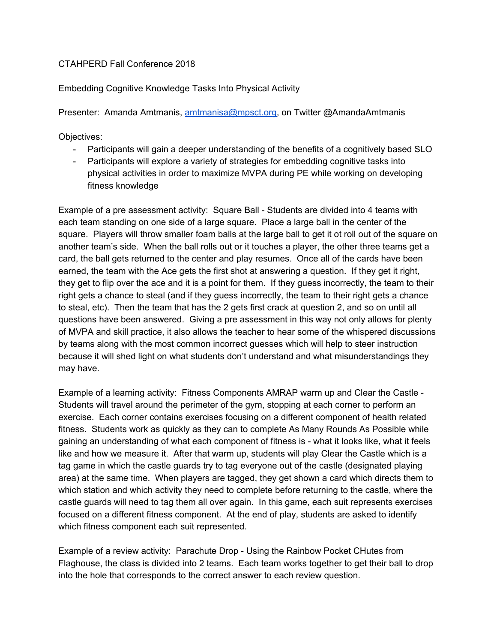## CTAHPERD Fall Conference 2018

Embedding Cognitive Knowledge Tasks Into Physical Activity

Presenter: Amanda Amtmanis, [amtmanisa@mpsct.org,](mailto:amtmanisa@mpsct.org) on Twitter @AmandaAmtmanis

Objectives:

- Participants will gain a deeper understanding of the benefits of a cognitively based SLO
- Participants will explore a variety of strategies for embedding cognitive tasks into physical activities in order to maximize MVPA during PE while working on developing fitness knowledge

Example of a pre assessment activity: Square Ball - Students are divided into 4 teams with each team standing on one side of a large square. Place a large ball in the center of the square. Players will throw smaller foam balls at the large ball to get it ot roll out of the square on another team's side. When the ball rolls out or it touches a player, the other three teams get a card, the ball gets returned to the center and play resumes. Once all of the cards have been earned, the team with the Ace gets the first shot at answering a question. If they get it right, they get to flip over the ace and it is a point for them. If they guess incorrectly, the team to their right gets a chance to steal (and if they guess incorrectly, the team to their right gets a chance to steal, etc). Then the team that has the 2 gets first crack at question 2, and so on until all questions have been answered. Giving a pre assessment in this way not only allows for plenty of MVPA and skill practice, it also allows the teacher to hear some of the whispered discussions by teams along with the most common incorrect guesses which will help to steer instruction because it will shed light on what students don't understand and what misunderstandings they may have.

Example of a learning activity: Fitness Components AMRAP warm up and Clear the Castle - Students will travel around the perimeter of the gym, stopping at each corner to perform an exercise. Each corner contains exercises focusing on a different component of health related fitness. Students work as quickly as they can to complete As Many Rounds As Possible while gaining an understanding of what each component of fitness is - what it looks like, what it feels like and how we measure it. After that warm up, students will play Clear the Castle which is a tag game in which the castle guards try to tag everyone out of the castle (designated playing area) at the same time. When players are tagged, they get shown a card which directs them to which station and which activity they need to complete before returning to the castle, where the castle guards will need to tag them all over again. In this game, each suit represents exercises focused on a different fitness component. At the end of play, students are asked to identify which fitness component each suit represented.

Example of a review activity: Parachute Drop - Using the Rainbow Pocket CHutes from Flaghouse, the class is divided into 2 teams. Each team works together to get their ball to drop into the hole that corresponds to the correct answer to each review question.